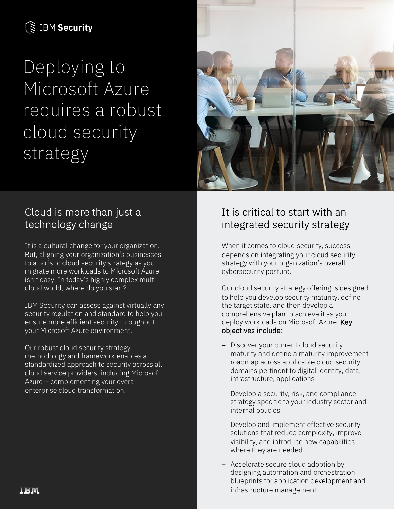# **S IBM Security**

Deploying to Microsoft Azure requires a robust cloud security strategy



## Cloud is more than just a technology change

It is a cultural change for your organization. But, aligning your organization's businesses to a holistic cloud security strategy as you migrate more workloads to Microsoft Azure isn't easy. In today's highly complex multicloud world, where do you start?

IBM Security can assess against virtually any security regulation and standard to help you ensure more efficient security throughout your Microsoft Azure environment.

Our robust cloud security strategy methodology and framework enables a standardized approach to security across all cloud service providers, including Microsoft Azure – complementing your overall enterprise cloud transformation.

## It is critical to start with an integrated security strategy

When it comes to cloud security, success depends on integrating your cloud security strategy with your organization's overall cybersecurity posture.

Our cloud security strategy offering is designed to help you develop security maturity, define the target state, and then develop a comprehensive plan to achieve it as you deploy workloads on Microsoft Azure. Key objectives include:

- Discover your current cloud security maturity and define a maturity improvement roadmap across applicable cloud security domains pertinent to digital identity, data, infrastructure, applications
- Develop a security, risk, and compliance strategy specific to your industry sector and internal policies
- Develop and implement effective security solutions that reduce complexity, improve visibility, and introduce new capabilities where they are needed
- Accelerate secure cloud adoption by designing automation and orchestration blueprints for application development and infrastructure management